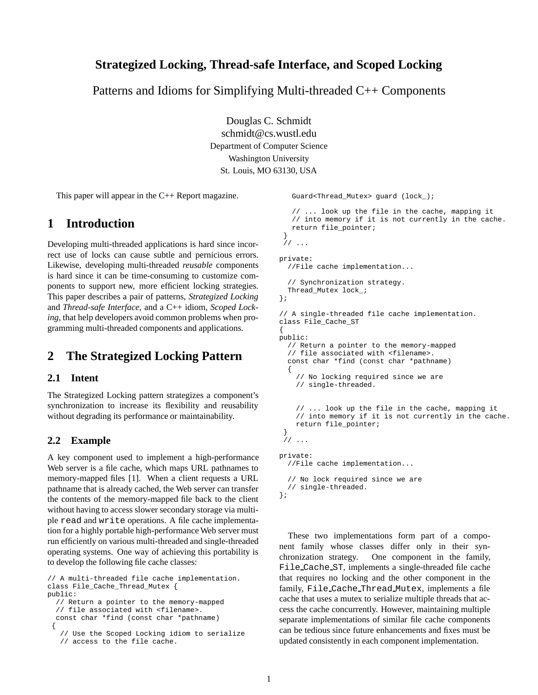#### 1

## **Strategized Locking, Thread-safe Interface, and Scoped Locking**

Patterns and Idioms for Simplifying Multi-threaded C++ Components

Douglas C. Schmidt schmidt@cs.wustl.edu Department of Computer Science Washington University St. Louis, MO 63130, USA

This paper will appear in the C++ Report magazine.

## **1 Introduction**

Developing multi-threaded applications is hard since incorrect use of locks can cause subtle and pernicious errors. Likewise, developing multi-threaded *reusable* components is hard since it can be time-consuming to customize components to support new, more efficient locking strategies. This paper describes a pair of patterns, *Strategized Locking* and *Thread-safe Interface*, and a C++ idiom, *Scoped Locking*, that help developers avoid common problems when programming multi-threaded components and applications.

## **2 The Strategized Locking Pattern**

### **2.1 Intent**

The Strategized Locking pattern strategizes a component's synchronization to increase its flexibility and reusability without degrading its performance or maintainability.

#### **2.2 Example**

A key component used to implement a high-performance Web server is a file cache, which maps URL pathnames to memory-mapped files [1]. When a client requests a URL pathname that is already cached, the Web server can transfer the contents of the memory-mapped file back to the client without having to access slower secondary storage via multiple read and write operations. A file cache implementation for a highly portable high-performance Web server must run efficiently on various multi-threaded and single-threaded operating systems. One way of achieving this portability is to develop the following file cache classes:

// A multi-threaded file cache implementation. class File\_Cache\_Thread\_Mutex { public: // Return a pointer to the memory-mapped // file associated with <filename>. const char \*find (const char \*pathname) { // Use the Scoped Locking idiom to serialize // access to the file cache.

Guard<Thread\_Mutex> guard (lock\_);

```
// ... look up the file in the cache, mapping it
   // into memory if it is not currently in the cache.
  return file_pointer;
 }
// ...
private:
 //File cache implementation...
  // Synchronization strategy.
 Thread_Mutex lock_;
};
// A single-threaded file cache implementation.
class File_Cache_ST
{
public:
  // Return a pointer to the memory-mapped
  // file associated with <filename>.
  const char *find (const char *pathname)
  {
    // No locking required since we are
    // single-threaded.
    // ... look up the file in the cache, mapping it
    // into memory if it is not currently in the cache.
    return file_pointer;
 }
 // ...
private:
  //File cache implementation...
  // No lock required since we are
  // single-threaded.
};
```
These two implementations form part of a component family whose classes differ only in their synchronization strategy. One component in the family, File Cache ST, implements a single-threaded file cache that requires no locking and the other component in the family, File Cache Thread Mutex, implements a file cache that uses a mutex to serialize multiple threads that access the cache concurrently. However, maintaining multiple separate implementations of similar file cache components can be tedious since future enhancements and fixes must be updated consistently in each component implementation.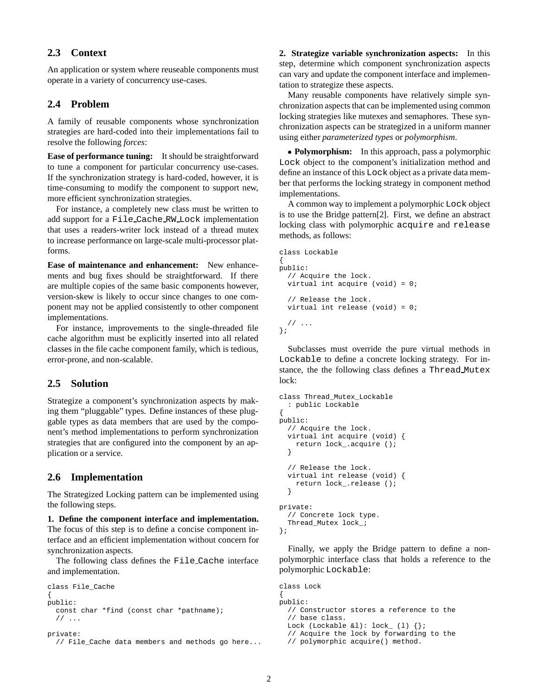## **2.3 Context**

An application or system where reuseable components must operate in a variety of concurrency use-cases.

#### **2.4 Problem**

A family of reusable components whose synchronization strategies are hard-coded into their implementations fail to resolve the following *forces*:

**Ease of performance tuning:** It should be straightforward to tune a component for particular concurrency use-cases. If the synchronization strategy is hard-coded, however, it is time-consuming to modify the component to support new, more efficient synchronization strategies.

For instance, a completely new class must be written to add support for a File Cache RW Lock implementation that uses a readers-writer lock instead of a thread mutex to increase performance on large-scale multi-processor platforms.

**Ease of maintenance and enhancement:** New enhancements and bug fixes should be straightforward. If there are multiple copies of the same basic components however, version-skew is likely to occur since changes to one component may not be applied consistently to other component implementations.

For instance, improvements to the single-threaded file cache algorithm must be explicitly inserted into all related classes in the file cache component family, which is tedious, error-prone, and non-scalable.

## **2.5 Solution**

Strategize a component's synchronization aspects by making them "pluggable" types. Define instances of these pluggable types as data members that are used by the component's method implementations to perform synchronization strategies that are configured into the component by an application or a service.

#### **2.6 Implementation**

The Strategized Locking pattern can be implemented using the following steps.

**1. Define the component interface and implementation.** The focus of this step is to define a concise component interface and an efficient implementation without concern for synchronization aspects.

The following class defines the File Cache interface and implementation.

```
class File_Cache
{
public:
 const char *find (const char *pathname);
  // ...
private:
```

```
// File_Cache data members and methods go here...
```
**2. Strategize variable synchronization aspects:** In this step, determine which component synchronization aspects can vary and update the component interface and implementation to strategize these aspects.

Many reusable components have relatively simple synchronization aspects that can be implemented using common locking strategies like mutexes and semaphores. These synchronization aspects can be strategized in a uniform manner using either *parameterized types* or *polymorphism*.

 **Polymorphism:** In this approach, pass a polymorphic Lock object to the component's initialization method and define an instance of this Lock object as a private data member that performs the locking strategy in component method implementations.

A common way to implement a polymorphic Lock object is to use the Bridge pattern[2]. First, we define an abstract locking class with polymorphic acquire and release methods, as follows:

```
class Lockable
{
public:
  // Acquire the lock.
  virtual int acquire (void) = 0;
  // Release the lock.
  virtual int release (void) = 0;
  // ...
};
```
Subclasses must override the pure virtual methods in Lockable to define a concrete locking strategy. For instance, the the following class defines a Thread Mutex lock:

```
class Thread_Mutex_Lockable
  : public Lockable
{
public:
  // Acquire the lock.
  virtual int acquire (void) {
    return lock_.acquire ();
  }
  // Release the lock.
  virtual int release (void) {
    return lock_.release ();
  }
private:
  // Concrete lock type.
  Thread_Mutex lock_;
};
```
Finally, we apply the Bridge pattern to define a nonpolymorphic interface class that holds a reference to the polymorphic Lockable:

```
class Lock
{
public:
 // Constructor stores a reference to the
  // base class.
  Lock (Lockable &1): lock_ (1) \{\}\;
  // Acquire the lock by forwarding to the
  // polymorphic acquire() method.
```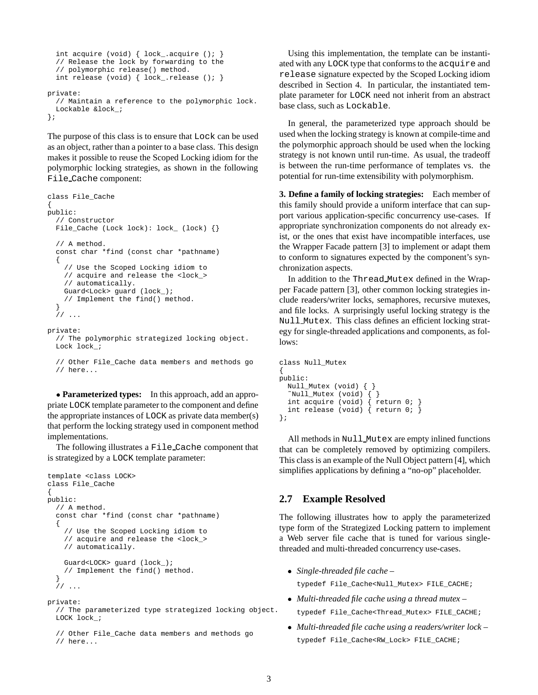```
int acquire (void) { lock_.acquire (); }
  // Release the lock by forwarding to the
  // polymorphic release() method.
  int release (void) { lock_.release (); }
private:
  // Maintain a reference to the polymorphic lock.
 Lockable &lock_;
};
```
The purpose of this class is to ensure that Lock can be used as an object, rather than a pointer to a base class. This design makes it possible to reuse the Scoped Locking idiom for the polymorphic locking strategies, as shown in the following File Cache component:

```
class File_Cache
{
public:
  // Constructor
 File_Cache (Lock lock): lock_ (lock) {}
  // A method.
  const char *find (const char *pathname)
  {
    // Use the Scoped Locking idiom to
    // acquire and release the <lock_>
    // automatically.
    Guard<Lock> guard (lock_);
    // Implement the find() method.
  }
  // ...
private:
```
// The polymorphic strategized locking object. Lock lock\_;

```
// Other File_Cache data members and methods go
// here...
```
 **Parameterized types:** In this approach, add an appropriate LOCK template parameter to the component and define the appropriate instances of LOCK as private data member(s) that perform the locking strategy used in component method implementations.

The following illustrates a File Cache component that is strategized by a LOCK template parameter:

```
template <class LOCK>
class File_Cache
{
public:
  // A method.
  const char *find (const char *pathname)
  {
    // Use the Scoped Locking idiom to
    // acquire and release the <lock_>
    // automatically.
    Guard<LOCK> guard (lock_);
    // Implement the find() method.
  }
  \frac{1}{2}...
```
private: // The parameterized type strategized locking object. LOCK lock\_;

```
// Other File_Cache data members and methods go
// here...
```
Using this implementation, the template can be instantiated with any LOCK type that conforms to the acquire and release signature expected by the Scoped Locking idiom described in Section 4. In particular, the instantiated template parameter for LOCK need not inherit from an abstract base class, such as Lockable.

In general, the parameterized type approach should be used when the locking strategy is known at compile-time and the polymorphic approach should be used when the locking strategy is not known until run-time. As usual, the tradeoff is between the run-time performance of templates vs. the potential for run-time extensibility with polymorphism.

**3. Define a family of locking strategies:** Each member of this family should provide a uniform interface that can support various application-specific concurrency use-cases. If appropriate synchronization components do not already exist, or the ones that exist have incompatible interfaces, use the Wrapper Facade pattern [3] to implement or adapt them to conform to signatures expected by the component's synchronization aspects.

In addition to the Thread Mutex defined in the Wrapper Facade pattern [3], other common locking strategies include readers/writer locks, semaphores, recursive mutexes, and file locks. A surprisingly useful locking strategy is the Null Mutex. This class defines an efficient locking strategy for single-threaded applications and components, as follows:

```
class Null_Mutex
{
public:
  Null_Mutex (void) { }
  \text{"Null_Mutes (void) } \{ \}int acquire (void) { return 0; }
  int release (void) \{ return 0; \}};
```
All methods in Null Mutex are empty inlined functions that can be completely removed by optimizing compilers. This class is an example of the Null Object pattern [4], which simplifies applications by defining a "no-op" placeholder.

#### **2.7 Example Resolved**

The following illustrates how to apply the parameterized type form of the Strategized Locking pattern to implement a Web server file cache that is tuned for various singlethreaded and multi-threaded concurrency use-cases.

*Single-threaded file cache* –

typedef File\_Cache<Null\_Mutex> FILE\_CACHE;

*Multi-threaded file cache using a thread mutex* –

typedef File\_Cache<Thread\_Mutex> FILE\_CACHE;

 *Multi-threaded file cache using a readers/writer lock* – typedef File Cache<RW Lock> FILE CACHE;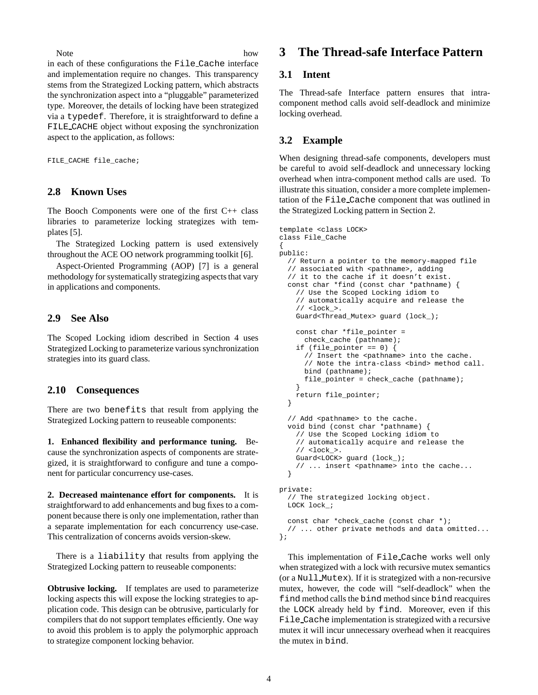Note how

in each of these configurations the File Cache interface and implementation require no changes. This transparency stems from the Strategized Locking pattern, which abstracts the synchronization aspect into a "pluggable" parameterized type. Moreover, the details of locking have been strategized via a typedef. Therefore, it is straightforward to define a FILE CACHE object without exposing the synchronization aspect to the application, as follows:

FILE\_CACHE file\_cache;

#### **2.8 Known Uses**

The Booch Components were one of the first C++ class libraries to parameterize locking strategizes with templates [5].

The Strategized Locking pattern is used extensively throughout the ACE OO network programming toolkit [6].

Aspect-Oriented Programming (AOP) [7] is a general methodology for systematically strategizing aspects that vary in applications and components.

### **2.9 See Also**

The Scoped Locking idiom described in Section 4 uses Strategized Locking to parameterize various synchronization strategies into its guard class.

#### **2.10 Consequences**

There are two benefits that result from applying the Strategized Locking pattern to reuseable components:

**1. Enhanced flexibility and performance tuning.** Because the synchronization aspects of components are strategized, it is straightforward to configure and tune a component for particular concurrency use-cases.

**2. Decreased maintenance effort for components.** It is straightforward to add enhancements and bug fixes to a component because there is only one implementation, rather than a separate implementation for each concurrency use-case. This centralization of concerns avoids version-skew.

There is a liability that results from applying the Strategized Locking pattern to reuseable components:

**Obtrusive locking.** If templates are used to parameterize locking aspects this will expose the locking strategies to application code. This design can be obtrusive, particularly for compilers that do not support templates efficiently. One way to avoid this problem is to apply the polymorphic approach to strategize component locking behavior.

## **3 The Thread-safe Interface Pattern**

#### **3.1 Intent**

The Thread-safe Interface pattern ensures that intracomponent method calls avoid self-deadlock and minimize locking overhead.

## **3.2 Example**

When designing thread-safe components, developers must be careful to avoid self-deadlock and unnecessary locking overhead when intra-component method calls are used. To illustrate this situation, consider a more complete implementation of the File Cache component that was outlined in the Strategized Locking pattern in Section 2.

```
template <class LOCK>
class File_Cache
{
public:
  // Return a pointer to the memory-mapped file
  // associated with <pathname>, adding
  // it to the cache if it doesn't exist.
  const char *find (const char *pathname) {
    // Use the Scoped Locking idiom to
    // automatically acquire and release the
    // <lock_>.
    Guard<Thread_Mutex> guard (lock_);
    const char *file_pointer =
      check_cache (pathname);
    if (file_pointer == 0) {
      // Insert the <pathname> into the cache.
      // Note the intra-class <bind> method call.
      bind (pathname);
      file_pointer = check_cache (pathname);
    }
    return file_pointer;
  }
  // Add <pathname> to the cache.
  void bind (const char *pathname) {
    // Use the Scoped Locking idiom to
    // automatically acquire and release the
    // <lock >.
    Guard<LOCK> guard (lock_);
    // ... insert <pathname> into the cache...
  }
private:
  // The strategized locking object.
  LOCK lock_;
  const char *check_cache (const char *);
  // ... other private methods and data omitted...
};
```
This implementation of File Cache works well only when strategized with a lock with recursive mutex semantics (or a Null Mutex). If it is strategized with a non-recursive mutex, however, the code will "self-deadlock" when the find method calls the bind method since bind reacquires the LOCK already held by find. Moreover, even if this File Cache implementation is strategized with a recursive mutex it will incur unnecessary overhead when it reacquires the mutex in bind.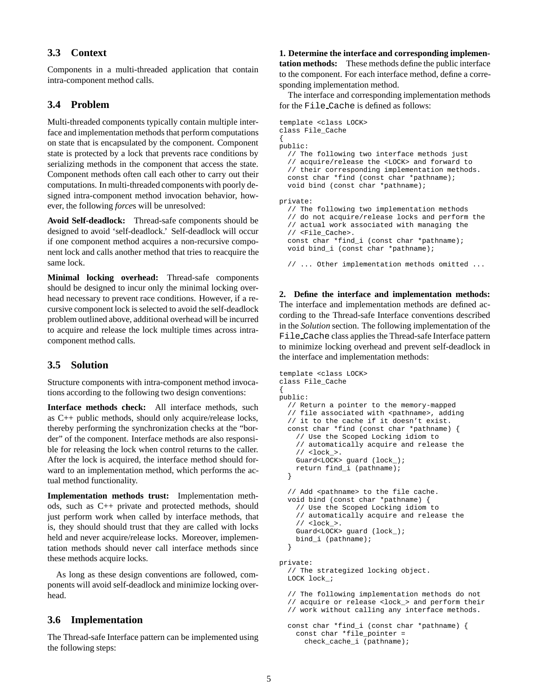## **3.3 Context**

Components in a multi-threaded application that contain intra-component method calls.

#### **3.4 Problem**

Multi-threaded components typically contain multiple interface and implementation methods that perform computations on state that is encapsulated by the component. Component state is protected by a lock that prevents race conditions by serializing methods in the component that access the state. Component methods often call each other to carry out their computations. In multi-threaded components with poorly designed intra-component method invocation behavior, however, the following *force*s will be unresolved:

**Avoid Self-deadlock:** Thread-safe components should be designed to avoid 'self-deadlock.' Self-deadlock will occur if one component method acquires a non-recursive component lock and calls another method that tries to reacquire the same lock.

**Minimal locking overhead:** Thread-safe components should be designed to incur only the minimal locking overhead necessary to prevent race conditions. However, if a recursive component lock is selected to avoid the self-deadlock problem outlined above, additional overhead will be incurred to acquire and release the lock multiple times across intracomponent method calls.

#### **3.5 Solution**

Structure components with intra-component method invocations according to the following two design conventions:

**Interface methods check:** All interface methods, such as C++ public methods, should only acquire/release locks, thereby performing the synchronization checks at the "border" of the component. Interface methods are also responsible for releasing the lock when control returns to the caller. After the lock is acquired, the interface method should forward to an implementation method, which performs the actual method functionality.

**Implementation methods trust:** Implementation methods, such as C++ private and protected methods, should just perform work when called by interface methods, that is, they should should trust that they are called with locks held and never acquire/release locks. Moreover, implementation methods should never call interface methods since these methods acquire locks.

As long as these design conventions are followed, components will avoid self-deadlock and minimize locking overhead.

#### **3.6 Implementation**

The Thread-safe Interface pattern can be implemented using the following steps:

**1. Determine the interface and corresponding implementation methods:** These methods define the public interface to the component. For each interface method, define a corresponding implementation method.

The interface and corresponding implementation methods for the File Cache is defined as follows:

```
template <class LOCK>
class File_Cache
{
public:
  // The following two interface methods just
  // acquire/release the <LOCK> and forward to
  // their corresponding implementation methods.
  const char *find (const char *pathname);
  void bind (const char *pathname);
private:
  // The following two implementation methods
  // do not acquire/release locks and perform the
  // actual work associated with managing the
  // <File_Cache>.
  const char *find_i (const char *pathname);
```
void bind\_i (const char \*pathname);

// ... Other implementation methods omitted ...

**2. Define the interface and implementation methods:** The interface and implementation methods are defined according to the Thread-safe Interface conventions described in the *Solution* section. The following implementation of the File Cache class applies the Thread-safe Interface pattern to minimize locking overhead and prevent self-deadlock in the interface and implementation methods:

```
template <class LOCK>
class File_Cache
{
public:
  // Return a pointer to the memory-mapped
  // file associated with <pathname>, adding
  // it to the cache if it doesn't exist.
  const char *find (const char *pathname) {
    // Use the Scoped Locking idiom to
    // automatically acquire and release the
    // <lock_>.
    Guard<LOCK> guard (lock_);
    return find_i (pathname);
  }
  // Add <pathname> to the file cache.
  void bind (const char *pathname) {
    // Use the Scoped Locking idiom to
    // automatically acquire and release the
    // <lock_>.
    Guard<LOCK> guard (lock_);
    bind_i (pathname);
  }
private:
  // The strategized locking object.
  LOCK lock_;
  // The following implementation methods do not
  // acquire or release <lock_> and perform their
  // work without calling any interface methods.
  const char *find_i (const char *pathname) {
    const char *file_pointer =
      check_cache_i (pathname);
```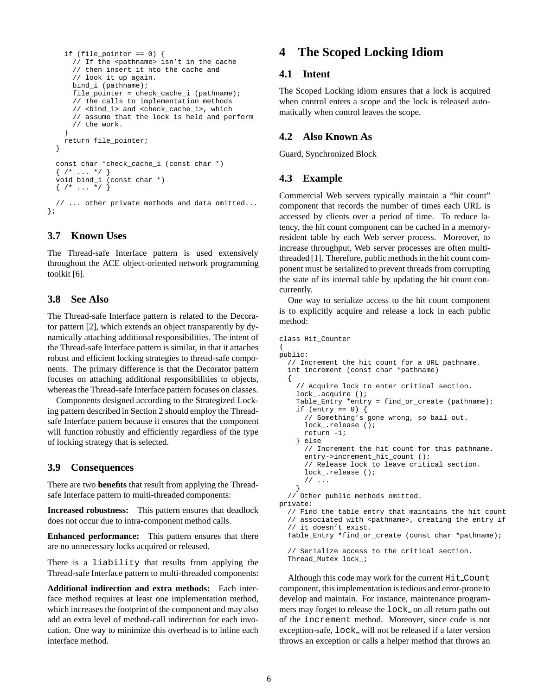```
if (file pointer == 0) {
      // If the <pathname> isn't in the cache
      // then insert it nto the cache and
      // look it up again.
     bind_i (pathname);
      file_pointer = check_cache_i (pathname);
      // The calls to implementation methods
      // <bind_i> and <check_cache_i>, which
      // assume that the lock is held and perform
      // the work.
    }
    return file_pointer;
  }
 const char *check_cache_i (const char *)
  \{ /* ... */ }
 void bind_i (const char *)
 \{ /* ... */ }
  // ... other private methods and data omitted...
};
```
### **3.7 Known Uses**

The Thread-safe Interface pattern is used extensively throughout the ACE object-oriented network programming toolkit [6].

#### **3.8 See Also**

The Thread-safe Interface pattern is related to the Decorator pattern [2], which extends an object transparently by dynamically attaching additional responsibilities. The intent of the Thread-safe Interface pattern is similar, in that it attaches robust and efficient locking strategies to thread-safe components. The primary difference is that the Decorator pattern focuses on attaching additional responsibilities to objects, whereas the Thread-safe Interface pattern focuses on classes.

Components designed according to the Strategized Locking pattern described in Section 2 should employ the Threadsafe Interface pattern because it ensures that the component will function robustly and efficiently regardless of the type of locking strategy that is selected.

#### **3.9 Consequences**

There are two **benefits** that result from applying the Threadsafe Interface pattern to multi-threaded components:

**Increased robustness:** This pattern ensures that deadlock does not occur due to intra-component method calls.

**Enhanced performance:** This pattern ensures that there are no unnecessary locks acquired or released.

There is a liability that results from applying the Thread-safe Interface pattern to multi-threaded components:

**Additional indirection and extra methods:** Each interface method requires at least one implementation method, which increases the footprint of the component and may also add an extra level of method-call indirection for each invocation. One way to minimize this overhead is to inline each interface method.

## **4 The Scoped Locking Idiom**

#### **4.1 Intent**

The Scoped Locking idiom ensures that a lock is acquired when control enters a scope and the lock is released automatically when control leaves the scope.

#### **4.2 Also Known As**

Guard, Synchronized Block

#### **4.3 Example**

Commercial Web servers typically maintain a "hit count" component that records the number of times each URL is accessed by clients over a period of time. To reduce latency, the hit count component can be cached in a memoryresident table by each Web server process. Moreover, to increase throughput, Web server processes are often multithreaded [1]. Therefore, public methods in the hit count component must be serialized to prevent threads from corrupting the state of its internal table by updating the hit count concurrently.

One way to serialize access to the hit count component is to explicitly acquire and release a lock in each public method:

```
class Hit_Counter
{
public:
  // Increment the hit count for a URL pathname.
  int increment (const char *pathname)
  {
    // Acquire lock to enter critical section.
    lock_.acquire ();
    Table_Entry *entry = find_or_create (pathname);
    if (entry == 0) {
      // Something's gone wrong, so bail out.
      lock_.release ();
      return -1;
    } else
      // Increment the hit count for this pathname.
      entry->increment hit count ();
      // Release lock to leave critical section.
      lock_.release ();
      // ...
    }
  // Other public methods omitted.
private:
  // Find the table entry that maintains the hit count
  // associated with <pathname>, creating the entry if
  // it doesn't exist.
  Table_Entry *find_or_create (const char *pathname);
  // Serialize access to the critical section.
  Thread Mutex lock ;
```
Although this code may work for the current Hit Count component, this implementation is tedious and error-prone to develop and maintain. For instance, maintenance programmers may forget to release the lock on all return paths out of the increment method. Moreover, since code is not exception-safe, lock will not be released if a later version throws an exception or calls a helper method that throws an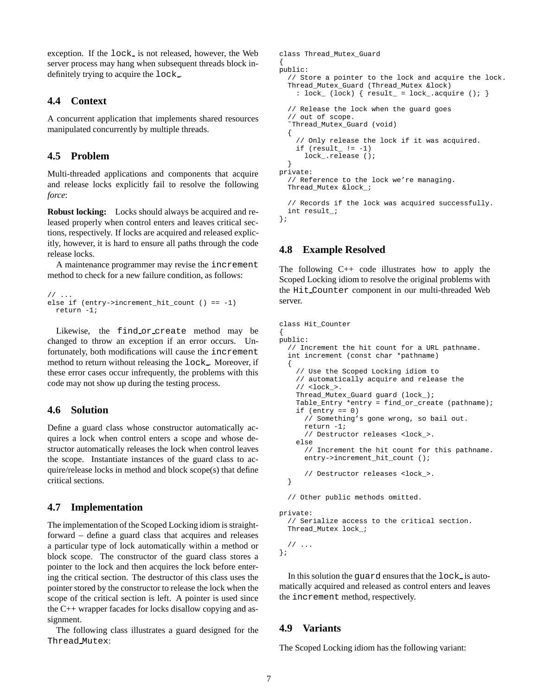exception. If the lock is not released, however, the Web server process may hang when subsequent threads block indefinitely trying to acquire the lock.

#### **4.4 Context**

A concurrent application that implements shared resources manipulated concurrently by multiple threads.

### **4.5 Problem**

Multi-threaded applications and components that acquire and release locks explicitly fail to resolve the following *force*:

**Robust locking:** Locks should always be acquired and released properly when control enters and leaves critical sections, respectively. If locks are acquired and released explicitly, however, it is hard to ensure all paths through the code release locks.

A maintenance programmer may revise the increment method to check for a new failure condition, as follows:

```
11.
else if (entry->increment_hit_count () == -1)
 return -1;
```
Likewise, the find or create method may be changed to throw an exception if an error occurs. Unfortunately, both modifications will cause the increment method to return without releasing the lock . Moreover, if these error cases occur infrequently, the problems with this code may not show up during the testing process.

#### **4.6 Solution**

Define a guard class whose constructor automatically acquires a lock when control enters a scope and whose destructor automatically releases the lock when control leaves the scope. Instantiate instances of the guard class to acquire/release locks in method and block scope(s) that define critical sections.

## **4.7 Implementation**

The implementation of the Scoped Locking idiom is straightforward – define a guard class that acquires and releases a particular type of lock automatically within a method or block scope. The constructor of the guard class stores a pointer to the lock and then acquires the lock before entering the critical section. The destructor of this class uses the pointer stored by the constructor to release the lock when the scope of the critical section is left. A pointer is used since the C++ wrapper facades for locks disallow copying and assignment.

The following class illustrates a guard designed for the Thread Mutex:

```
class Thread_Mutex_Guard
{
public:
  // Store a pointer to the lock and acquire the lock.
  Thread_Mutex_Guard (Thread_Mutex &lock)
    : lock_ (lock) { result_ = lock_.acquire (); }
  // Release the lock when the guard goes
  // out of scope.
  ˜Thread_Mutex_Guard (void)
  {
    // Only release the lock if it was acquired.
    if (result_, != -1)lock_.release ();
  }
private:
  // Reference to the lock we're managing.
  Thread_Mutex &lock_;
  // Records if the lock was acquired successfully.
  int result_;
```
## **4.8 Example Resolved**

};

The following C++ code illustrates how to apply the Scoped Locking idiom to resolve the original problems with the Hit Counter component in our multi-threaded Web server.

```
class Hit_Counter
{
public:
  // Increment the hit count for a URL pathname.
  int increment (const char *pathname)
  {
    // Use the Scoped Locking idiom to
    // automatically acquire and release the
    // <lock >.
    Thread_Mutex_Guard guard (lock_);
    Table_Entry *entry = find_or_create (pathname);
    if (entry == 0)// Something's gone wrong, so bail out.
      return -1;
      // Destructor releases <lock_>.
    else
      // Increment the hit count for this pathname.
      entry->increment_hit_count ();
      // Destructor releases <lock_>.
  }
  // Other public methods omitted.
```

```
private:
  // Serialize access to the critical section.
 Thread Mutex lock ;
```
// ... };

In this solution the guard ensures that the lock is automatically acquired and released as control enters and leaves the increment method, respectively.

#### **4.9 Variants**

The Scoped Locking idiom has the following variant: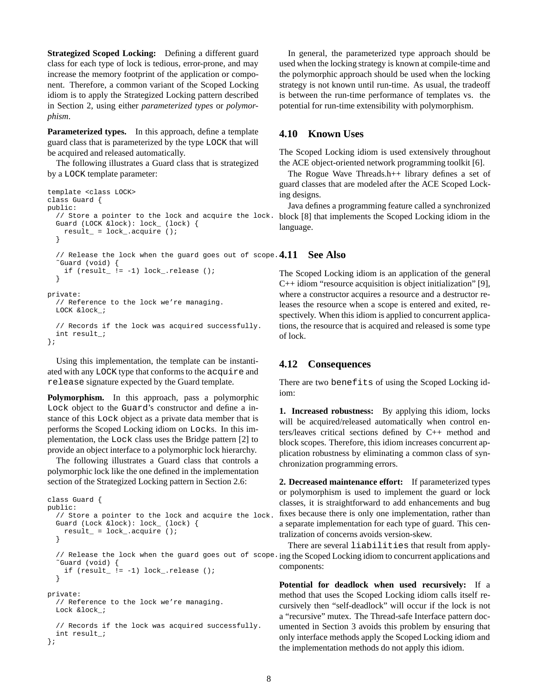**Strategized Scoped Locking:** Defining a different guard class for each type of lock is tedious, error-prone, and may increase the memory footprint of the application or component. Therefore, a common variant of the Scoped Locking idiom is to apply the Strategized Locking pattern described in Section 2, using either *parameterized types* or *polymorphism*.

**Parameterized types.** In this approach, define a template guard class that is parameterized by the type LOCK that will be acquired and released automatically.

The following illustrates a Guard class that is strategized by a LOCK template parameter:

```
template <class LOCK>
class Guard {
public:
  // Store a pointer to the lock and acquire the lock.
block [8] that implements the Scoped Locking idiom in the
 Guard (LOCK &lock): lock_ (lock) {
   result_ = lock_.acquire ();
  }
  // Release the lock when the guard goes out of scope. 4.11˜Guard (void) {
    if (result_, != -1) lock_{rel} = ();
  }
private:
  // Reference to the lock we're managing.
 LOCK &lock_;
  // Records if the lock was acquired successfully.
  int result_;
};
```
Using this implementation, the template can be instantiated with any LOCK type that conforms to the acquire and release signature expected by the Guard template.

**Polymorphism.** In this approach, pass a polymorphic Lock object to the Guard's constructor and define a instance of this Lock object as a private data member that is performs the Scoped Locking idiom on Locks. In this implementation, the Lock class uses the Bridge pattern [2] to provide an object interface to a polymorphic lock hierarchy.

The following illustrates a Guard class that controls a polymorphic lock like the one defined in the implementation section of the Strategized Locking pattern in Section 2.6:

```
class Guard {
public:
  // Store a pointer to the lock and acquire the lock.
 Guard (Lock &lock): lock_ (lock) {
   result_ = lock_ . acquire ();
  }
  // Release the lock when the guard goes out of scope.ing the Scoped Locking idiom to concurrent applications and
  ˜Guard (void) {
    if (result_, = -1) lock_{rel}ease ();
  }
private:
  // Reference to the lock we're managing.
 Lock &lock ;
  // Records if the lock was acquired successfully.
  int result_;
};
```
In general, the parameterized type approach should be used when the locking strategy is known at compile-time and the polymorphic approach should be used when the locking strategy is not known until run-time. As usual, the tradeoff is between the run-time performance of templates vs. the potential for run-time extensibility with polymorphism.

#### **4.10 Known Uses**

The Scoped Locking idiom is used extensively throughout the ACE object-oriented network programming toolkit [6].

The Rogue Wave Threads.h++ library defines a set of guard classes that are modeled after the ACE Scoped Locking designs.

Java defines a programming feature called a synchronized language.

The Scoped Locking idiom is an application of the general C++ idiom "resource acquisition is object initialization" [9], where a constructor acquires a resource and a destructor releases the resource when a scope is entered and exited, respectively. When this idiom is applied to concurrent applications, the resource that is acquired and released is some type of lock.

#### **4.12 Consequences**

**See Also** 

There are two benefits of using the Scoped Locking idiom:

**1. Increased robustness:** By applying this idiom, locks will be acquired/released automatically when control enters/leaves critical sections defined by C++ method and block scopes. Therefore, this idiom increases concurrent application robustness by eliminating a common class of synchronization programming errors.

**2. Decreased maintenance effort:** If parameterized types or polymorphism is used to implement the guard or lock classes, it is straightforward to add enhancements and bug fixes because there is only one implementation, rather than a separate implementation for each type of guard. This centralization of concerns avoids version-skew.

There are several liabilities that result from applycomponents:

**Potential for deadlock when used recursively:** If a method that uses the Scoped Locking idiom calls itself recursively then "self-deadlock" will occur if the lock is not a "recursive" mutex. The Thread-safe Interface pattern documented in Section 3 avoids this problem by ensuring that only interface methods apply the Scoped Locking idiom and the implementation methods do not apply this idiom.